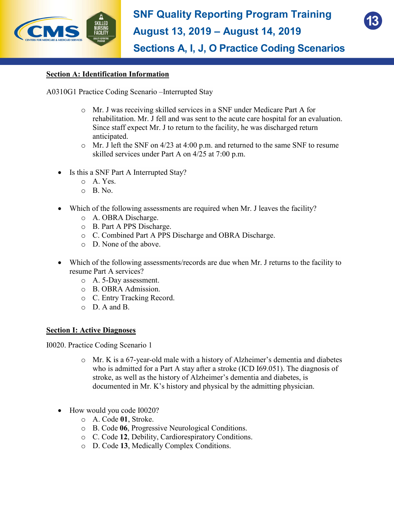



**Sections A, I, J, O Practice Coding Scenarios**

## **Section A: Identification Information**

A0310G1 Practice Coding Scenario –Interrupted Stay

- o Mr. J was receiving skilled services in a SNF under Medicare Part A for rehabilitation. Mr. J fell and was sent to the acute care hospital for an evaluation. Since staff expect Mr. J to return to the facility, he was discharged return anticipated.
- o Mr. J left the SNF on 4/23 at 4:00 p.m. and returned to the same SNF to resume skilled services under Part A on 4/25 at 7:00 p.m.
- Is this a SNF Part A Interrupted Stay?
	- o A. Yes.
	- $O$  B. No.
- Which of the following assessments are required when Mr. J leaves the facility?
	- o A. OBRA Discharge.
	- o B. Part A PPS Discharge.
	- o C. Combined Part A PPS Discharge and OBRA Discharge.
	- o D. None of the above.
- Which of the following assessments/records are due when Mr. J returns to the facility to resume Part A services?
	- o A. 5-Day assessment.
	- o B. OBRA Admission.
	- o C. Entry Tracking Record.
	- o D. A and B.

## **Section I: Active Diagnoses**

I0020. Practice Coding Scenario 1

- o Mr. K is a 67-year-old male with a history of Alzheimer's dementia and diabetes who is admitted for a Part A stay after a stroke (ICD I69.051). The diagnosis of stroke, as well as the history of Alzheimer's dementia and diabetes, is documented in Mr. K's history and physical by the admitting physician.
- How would you code I0020?
	- o A. Code **01**, Stroke.
	- o B. Code **06**, Progressive Neurological Conditions.
	- o C. Code **12**, Debility, Cardiorespiratory Conditions.
	- o D. Code **13**, Medically Complex Conditions.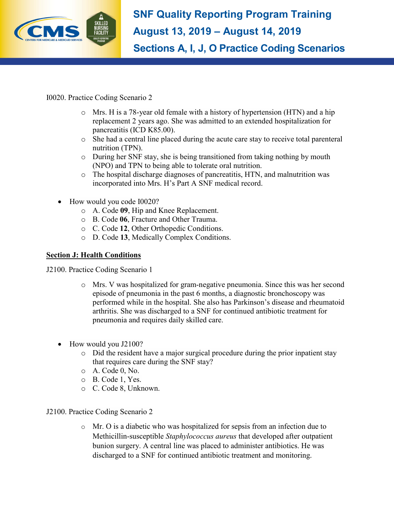

**SNF Quality Reporting Program Training August 13, 2019 – August 14, 2019 Sections A, I, J, O Practice Coding Scenarios**

I0020. Practice Coding Scenario 2

- $\circ$  Mrs. H is a 78-year old female with a history of hypertension (HTN) and a hip replacement 2 years ago. She was admitted to an extended hospitalization for pancreatitis (ICD K85.00).
- o She had a central line placed during the acute care stay to receive total parenteral nutrition (TPN).
- o During her SNF stay, she is being transitioned from taking nothing by mouth (NPO) and TPN to being able to tolerate oral nutrition.
- $\circ$  The hospital discharge diagnoses of pancreatitis, HTN, and malnutrition was incorporated into Mrs. H's Part A SNF medical record.
- How would you code I0020?
	- o A. Code **09**, Hip and Knee Replacement.
	- o B. Code **06**, Fracture and Other Trauma.
	- o C. Code **12**, Other Orthopedic Conditions.
	- o D. Code **13**, Medically Complex Conditions.

## **Section J: Health Conditions**

J2100. Practice Coding Scenario 1

- o Mrs. V was hospitalized for gram-negative pneumonia. Since this was her second episode of pneumonia in the past 6 months, a diagnostic bronchoscopy was performed while in the hospital. She also has Parkinson's disease and rheumatoid arthritis. She was discharged to a SNF for continued antibiotic treatment for pneumonia and requires daily skilled care.
- How would you J2100?
	- $\circ$  Did the resident have a major surgical procedure during the prior inpatient stay that requires care during the SNF stay?
	- o A. Code 0, No.
	- o B. Code 1, Yes.
	- o C. Code 8, Unknown.

J2100. Practice Coding Scenario 2

 $\circ$  Mr. O is a diabetic who was hospitalized for sepsis from an infection due to Methicillin-susceptible *Staphylococcus aureus* that developed after outpatient bunion surgery. A central line was placed to administer antibiotics. He was discharged to a SNF for continued antibiotic treatment and monitoring.